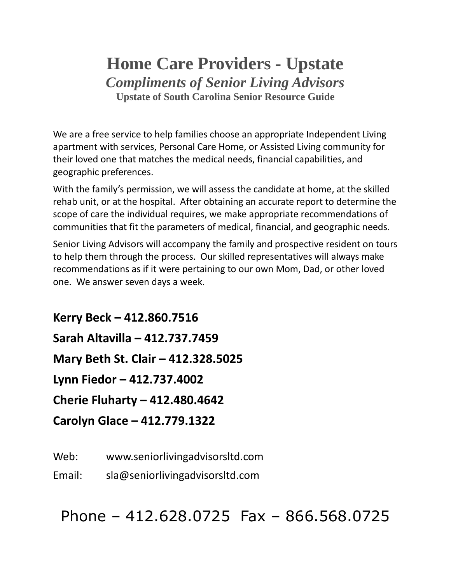# **Home Care Providers - Upstate** *Compliments of Senior Living Advisors* **Upstate of South Carolina Senior Resource Guide**

We are a free service to help families choose an appropriate Independent Living apartment with services, Personal Care Home, or Assisted Living community for their loved one that matches the medical needs, financial capabilities, and geographic preferences.

With the family's permission, we will assess the candidate at home, at the skilled rehab unit, or at the hospital. After obtaining an accurate report to determine the scope of care the individual requires, we make appropriate recommendations of communities that fit the parameters of medical, financial, and geographic needs.

Senior Living Advisors will accompany the family and prospective resident on tours to help them through the process. Our skilled representatives will always make recommendations as if it were pertaining to our own Mom, Dad, or other loved one. We answer seven days a week.

**Kerry Beck – 412.860.7516 Sarah Altavilla – 412.737.7459 Mary Beth St. Clair – 412.328.5025 Lynn Fiedor – 412.737.4002 Cherie Fluharty – 412.480.4642 Carolyn Glace – 412.779.1322**

Web: www.seniorlivingadvisorsltd.com

Email: sla@seniorlivingadvisorsltd.com

Phone – 412.628.0725 Fax – 866.568.0725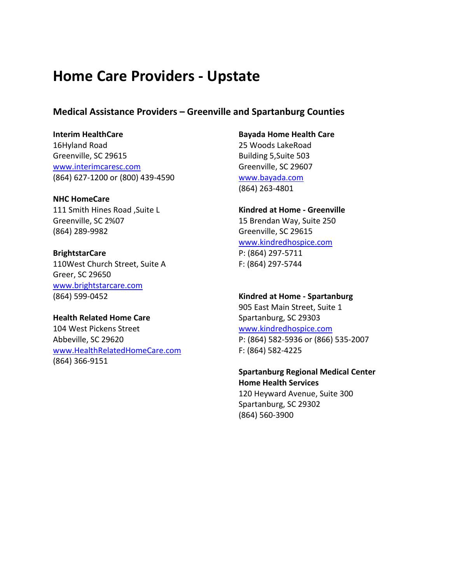## **Home Care Providers - Upstate**

## **Medical Assistance Providers – Greenville and Spartanburg Counties**

**Interim HealthCare** 16Hyland Road Greenville, SC 29615 [www.interimcaresc.com](http://www.interimcaresc.com/) (864) 627-1200 or (800) 439-4590

**NHC HomeCare** 111 Smith Hines Road ,Suite L Greenville, SC 2%07 (864) 289-9982

**BrightstarCare** 110West Church Street, Suite A Greer, SC 29650 [www.brightstarcare.com](http://www.brightstarcare.com/) (864) 599-0452

**Health Related Home Care** 104 West Pickens Street Abbeville, SC 29620 [www.HealthRelatedHomeCare.com](http://www.healthrelatedhomecare.com/) (864) 366-9151

**Bayada Home Health Care** 25 Woods LakeRoad Building 5,Suite 503 Greenville, SC 29607 [www.bayada.com](http://www.bayada.com/) (864) 263-4801

**Kindred at Home - Greenville** 15 Brendan Way, Suite 250 Greenville, SC 29615 [www.kindredhospice.com](http://www.kindredhospice.com/) P: (864) 297-5711

F: (864) 297-5744

**Kindred at Home - Spartanburg** 905 East Main Street, Suite 1 Spartanburg, SC 29303 [www.kindredhospice.com](http://www.kindredhospice.com/) P: (864) 582-5936 or (866) 535-2007 F: (864) 582-4225

**Spartanburg Regional Medical Center Home Health Services** 120 Heyward Avenue, Suite 300 Spartanburg, SC 29302

(864) 560-3900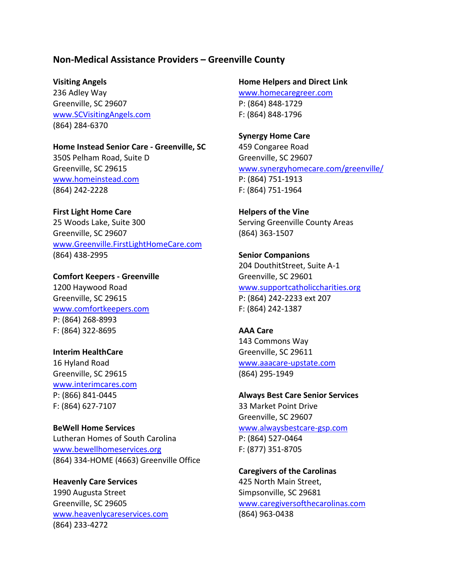## **Non-Medical Assistance Providers – Greenville County**

#### **Visiting Angels**

236 Adley Way Greenville, SC 29607 [www.SCVisitingAngels.com](http://www.scvisitingangels.com/) (864) 284-6370

**Home Instead Senior Care - Greenville, SC** 350S Pelham Road, Suite D Greenville, SC 29615 [www.homeinstead.com](http://www.homeinstead.com/) (864) 242-2228

**First Light Home Care** 25 Woods Lake, Suite 300 Greenville, SC 29607 [www.Greenville.FirstLightHomeCare.com](http://www.greenville.firstlighthomecare.com/) (864) 438-2995

**Comfort Keepers - Greenville** 1200 Haywood Road Greenville, SC 29615 [www.comfortkeepers.com](http://www.comfortkeepers.com/) P: (864) 268-8993 F: (864) 322-8695

## **Interim HealthCare**

16 Hyland Road Greenville, SC 29615 [www.interimcares.com](http://www.interimcares.com/) P: (866) 841-0445 F: (864) 627-7107

**BeWell Home Services** Lutheran Homes of South Carolina [www.bewellhomeservices.org](http://www.bewellhomeservices.org/) (864) 334-HOME (4663) Greenville Office

**Heavenly Care Services** 1990 Augusta Street Greenville, SC 29605 [www.heavenlycareservices.com](http://www.heavenlycareservices.com/) (864) 233-4272

**Home Helpers and Direct Link**

[www.homecaregreer.com](http://www.homecaregreer.com/) P: (864) 848-1729 F: (864) 848-1796

**Synergy Home Care** 459 Congaree Road Greenville, SC 29607 [www.synergyhomecare.com/greenville/](http://www.synergyhomecare.com/greenville/) P: (864) 751-1913 F: (864) 751-1964

**Helpers of the Vine** Serving Greenville County Areas (864) 363-1507

**Senior Companions** 204 DouthitStreet, Suite A-1 Greenville, SC 29601 [www.supportcatholiccharities.org](http://www.supportcatholiccharities.org/) P: (864) 242-2233 ext 207 F: (864) 242-1387

**AAA Care** 143 Commons Way Greenville, SC 29611 [www.aaacare-upstate.com](http://www.aaacare-upstate.com/) (864) 295-1949

**Always Best Care Senior Services** 33 Market Point Drive Greenville, SC 29607 [www.alwaysbestcare-gsp.com](http://www.alwaysbestcare-gsp.com/) P: (864) 527-0464 F: (877) 351-8705

**Caregivers of the Carolinas** 425 North Main Street, Simpsonville, SC 29681 [www.caregiversofthecarolinas.com](http://www.caregiversofthecarolinas.com/) (864) 963-0438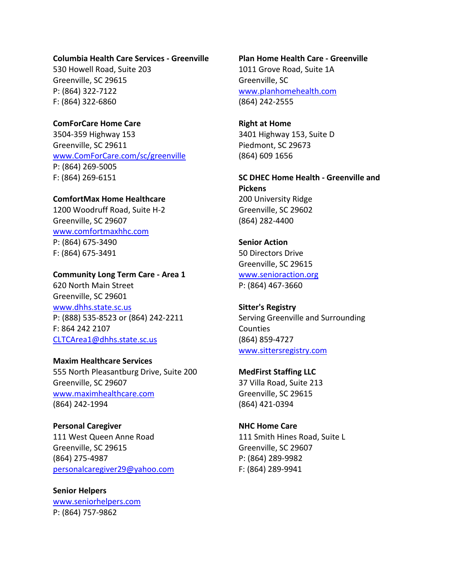#### **Columbia Health Care Services - Greenville**

530 Howell Road, Suite 203 Greenville, SC 29615 P: (864) 322-7122 F: (864) 322-6860

**ComForCare Home Care** 3504-359 Highway 153 Greenville, SC 29611 [www.ComForCare.com/sc/greenville](http://www.comforcare.com/sc/greenville) P: (864) 269-5005 F: (864) 269-6151

## **ComfortMax Home Healthcare**

1200 Woodruff Road, Suite H-2 Greenville, SC 29607 [www.comfortmaxhhc.com](http://www.comfortmaxhhc.com/) P: (864) 675-3490 F: (864) 675-3491

#### **Community Long Term Care - Area 1**

620 North Main Street Greenville, SC 29601 [www.dhhs.state.sc.us](http://www.dhhs.state.sc.us/) P: (888) 535-8523 or (864) 242-2211 F: 864 242 2107 [CLTCArea1@dhhs.state.sc.us](mailto:CLTCArea1@dhhs.state.sc.us)

#### **Maxim Healthcare Services**

555 North Pleasantburg Drive, Suite 200 Greenville, SC 29607 [www.maximhealthcare.com](http://www.maximhealthcare.com/) (864) 242-1994

**Personal Caregiver** 111 West Queen Anne Road Greenville, SC 29615 (864) 275-4987 [personalcaregiver29@yahoo.com](mailto:personalcaregiver29@yahoo.com)

**Senior Helpers** [www.seniorhelpers.com](http://www.seniorhelpers.com/) P: (864) 757-9862

## **Plan Home Health Care - Greenville** 1011 Grove Road, Suite 1A Greenville, SC [www.planhomehealth.com](http://www.planhomehealth.com/)

(864) 242-2555

**Right at Home** 3401 Highway 153, Suite D Piedmont, SC 29673 (864) 609 1656

**SC DHEC Home Health - Greenville and Pickens** 200 University Ridge Greenville, SC 29602 (864) 282-4400

**Senior Action** 50 Directors Drive Greenville, SC 29615 [www.senioraction.org](http://www.senioraction.org/) P: (864) 467-3660

**Sitter's Registry** Serving Greenville and Surrounding Counties (864) 859-4727 [www.sittersregistry.com](http://www.sittersregistry.com/)

**MedFirst Staffing LLC** 37 Villa Road, Suite 213 Greenville, SC 29615 (864) 421-0394

**NHC Home Care** 111 Smith Hines Road, Suite L Greenville, SC 29607 P: (864) 289-9982 F: (864) 289-9941